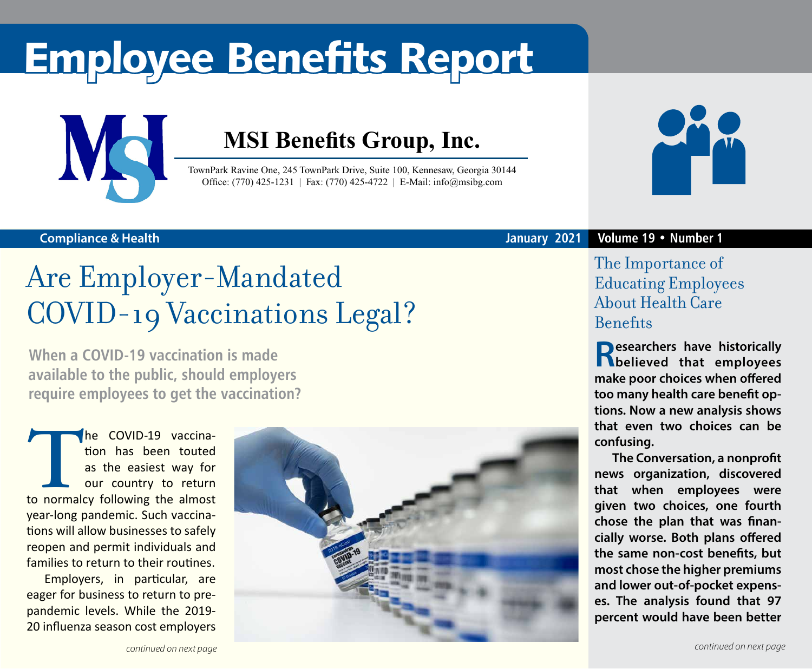# Employee Benefits Report



### **MSI Benefits Group, Inc.**

TownPark Ravine One, 245 TownPark Drive, Suite 100, Kennesaw, Georgia 30144 Office: (770) 425-1231 | Fax: (770) 425-4722 | E-Mail: info@msibg.com

#### **Compliance & Health**

### Are Employer-Mandated COVID-19 Vaccinations Legal?

**When a COVID-19 vaccination is made available to the public, should employers require employees to get the vaccination?** 

The COVID-19 vaccination has been touted as the easiest way for our country to return to normalcy following the almost tion has been touted as the easiest way for our country to return year-long pandemic. Such vaccinations will allow businesses to safely reopen and permit individuals and families to return to their routines.

Employers, in particular, are eager for business to return to prepandemic levels. While the 2019- 20 influenza season cost employers





#### **January 2021 Volume 19 • Number 1**

#### The Importance of Educating Employees About Health Care **Benefits**

**Researchers have historically believed that employees make poor choices when offered too many health care benefit options. Now a new analysis shows that even two choices can be confusing.**

**The Conversation, a nonprofit news organization, discovered that when employees were given two choices, one fourth chose the plan that was financially worse. Both plans offered the same non-cost benefits, but most chose the higher premiums and lower out-of-pocket expenses. The analysis found that 97 percent would have been better**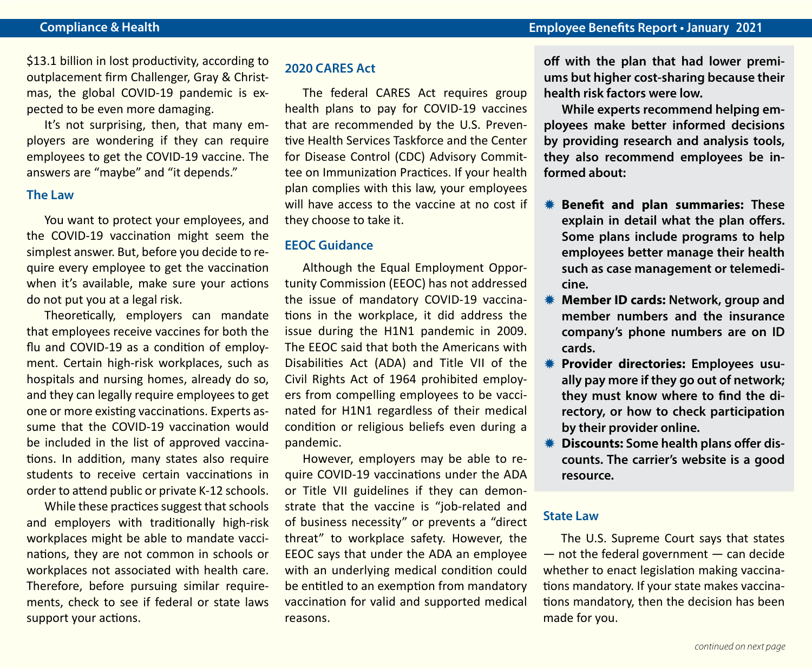\$13.1 billion in lost productivity, according to outplacement firm Challenger, Gray & Christmas, the global COVID-19 pandemic is expected to be even more damaging.

It's not surprising, then, that many employers are wondering if they can require employees to get the COVID-19 vaccine. The answers are "maybe" and "it depends."

#### **The Law**

You want to protect your employees, and the COVID-19 vaccination might seem the simplest answer. But, before you decide to require every employee to get the vaccination when it's available, make sure your actions do not put you at a legal risk.

Theoretically, employers can mandate that employees receive vaccines for both the flu and COVID-19 as a condition of employment. Certain high-risk workplaces, such as hospitals and nursing homes, already do so, and they can legally require employees to get one or more existing vaccinations. Experts assume that the COVID-19 vaccination would be included in the list of approved vaccinations. In addition, many states also require students to receive certain vaccinations in order to attend public or private K-12 schools.

While these practices suggest that schools and employers with traditionally high-risk workplaces might be able to mandate vaccinations, they are not common in schools or workplaces not associated with health care. Therefore, before pursuing similar requirements, check to see if federal or state laws support your actions.

#### **2020 CARES Act**

The federal CARES Act requires group health plans to pay for COVID-19 vaccines that are recommended by the U.S. Preventive Health Services Taskforce and the Center for Disease Control (CDC) Advisory Committee on Immunization Practices. If your health plan complies with this law, your employees will have access to the vaccine at no cost if they choose to take it.

#### **EEOC Guidance**

Although the Equal Employment Opportunity Commission (EEOC) has not addressed the issue of mandatory COVID-19 vaccinations in the workplace, it did address the issue during the H1N1 pandemic in 2009. The EEOC said that both the Americans with Disabilities Act (ADA) and Title VII of the Civil Rights Act of 1964 prohibited employers from compelling employees to be vaccinated for H1N1 regardless of their medical condition or religious beliefs even during a pandemic.

However, employers may be able to require COVID-19 vaccinations under the ADA or Title VII guidelines if they can demonstrate that the vaccine is "job-related and of business necessity" or prevents a "direct threat" to workplace safety. However, the EEOC says that under the ADA an employee with an underlying medical condition could be entitled to an exemption from mandatory vaccination for valid and supported medical reasons.

**off with the plan that had lower premiums but higher cost-sharing because their health risk factors were low.**

**While experts recommend helping employees make better informed decisions by providing research and analysis tools, they also recommend employees be informed about:**

- *<b>W* Benefit and plan summaries: These **explain in detail what the plan offers. Some plans include programs to help employees better manage their health such as case management or telemedicine.**
- **K** Member ID cards: Network, group and **member numbers and the insurance company's phone numbers are on ID cards.**
- $*$  **Provider directories: Employees usually pay more if they go out of network; they must know where to find the directory, or how to check participation by their provider online.**
- *<u><b>W* Discounts: Some health plans offer dis-</u> **counts. The carrier's website is a good resource.**

#### **State Law**

The U.S. Supreme Court says that states  $-$  not the federal government  $-$  can decide whether to enact legislation making vaccinations mandatory. If your state makes vaccinations mandatory, then the decision has been made for you.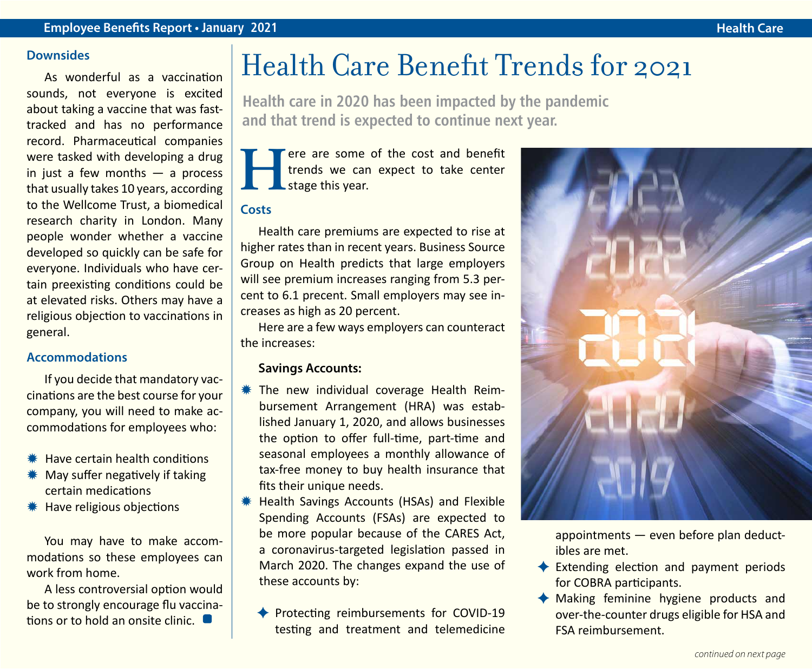#### **Downsides**

As wonderful as a vaccination sounds, not everyone is excited about taking a vaccine that was fasttracked and has no performance record. Pharmaceutical companies were tasked with developing a drug in just a few months  $-$  a process that usually takes 10 years, according to the Wellcome Trust, a biomedical research charity in London. Many people wonder whether a vaccine developed so quickly can be safe for everyone. Individuals who have certain preexisting conditions could be at elevated risks. Others may have a religious objection to vaccinations in general.

#### **Accommodations**

If you decide that mandatory vaccinations are the best course for your company, you will need to make accommodations for employees who:

- $*$  Have certain health conditions
- $*$  May suffer negatively if taking certain medications
- **\*\*** Have religious objections

You may have to make accommodations so these employees can work from home.

A less controversial option would be to strongly encourage flu vaccinations or to hold an onsite clinic.

### Health Care Benefit Trends for 2021

**Health care in 2020 has been impacted by the pandemic and that trend is expected to continue next year.** 

**Here are some of the cost and benefit**<br>trends we can expect to take center<br>stage this year. trends we can expect to take center stage this year.

#### **Costs**

Health care premiums are expected to rise at higher rates than in recent years. Business Source Group on Health predicts that large employers will see premium increases ranging from 5.3 percent to 6.1 precent. Small employers may see increases as high as 20 percent.

Here are a few ways employers can counteract the increases:

#### **Savings Accounts:**

- **\* The new individual coverage Health Reim**bursement Arrangement (HRA) was established January 1, 2020, and allows businesses the option to offer full-time, part-time and seasonal employees a monthly allowance of tax-free money to buy health insurance that fits their unique needs.
- **\* Health Savings Accounts (HSAs) and Flexible** Spending Accounts (FSAs) are expected to be more popular because of the CARES Act, a coronavirus-targeted legislation passed in March 2020. The changes expand the use of these accounts by:
	- ◆ Protecting reimbursements for COVID-19 testing and treatment and telemedicine



appointments — even before plan deductibles are met.

- $\triangle$  Extending election and payment periods for COBRA participants.
- $\triangleleft$  Making feminine hygiene products and over-the-counter drugs eligible for HSA and FSA reimbursement.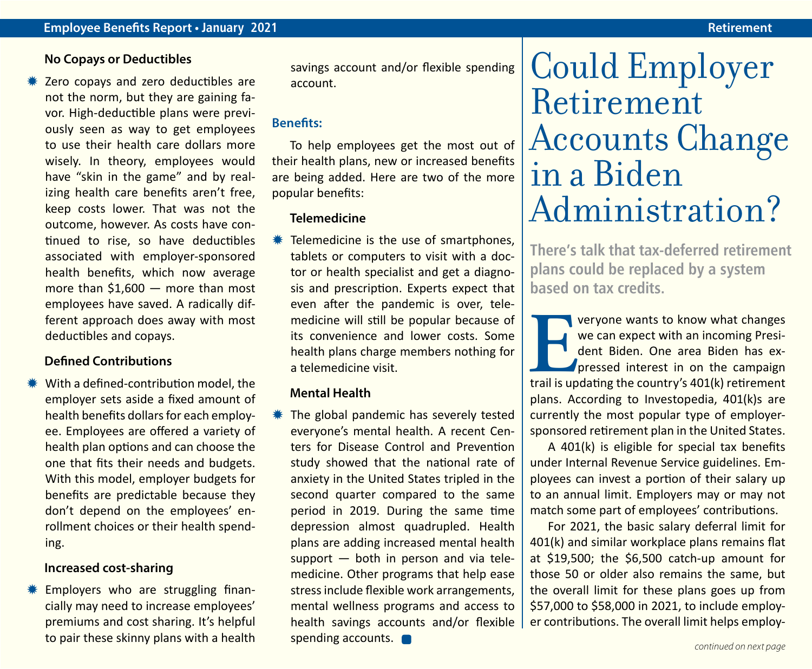#### **No Copays or Deductibles**

Zero copays and zero deductibles are not the norm, but they are gaining favor. High-deductible plans were previously seen as way to get employees to use their health care dollars more wisely. In theory, employees would have "skin in the game" and by realizing health care benefits aren't free, keep costs lower. That was not the outcome, however. As costs have continued to rise, so have deductibles associated with employer-sponsored health benefits, which now average more than \$1,600 — more than most employees have saved. A radically different approach does away with most deductibles and copays.

#### **Defined Contributions**

 $*$  With a defined-contribution model, the employer sets aside a fixed amount of health benefits dollars for each employee. Employees are offered a variety of health plan options and can choose the one that fits their needs and budgets. With this model, employer budgets for benefits are predictable because they don't depend on the employees' enrollment choices or their health spending.

#### **Increased cost-sharing**

Employers who are struggling financially may need to increase employees' premiums and cost sharing. It's helpful to pair these skinny plans with a health savings account and/or flexible spending account.

#### **Benefits:**

To help employees get the most out of their health plans, new or increased benefits are being added. Here are two of the more popular benefits:

#### **Telemedicine**

Telemedicine is the use of smartphones. tablets or computers to visit with a doctor or health specialist and get a diagnosis and prescription. Experts expect that even after the pandemic is over, telemedicine will still be popular because of its convenience and lower costs. Some health plans charge members nothing for a telemedicine visit.

#### **Mental Health**

The global pandemic has severely tested everyone's mental health. A recent Centers for Disease Control and Prevention study showed that the national rate of anxiety in the United States tripled in the second quarter compared to the same period in 2019. During the same time depression almost quadrupled. Health plans are adding increased mental health support — both in person and via telemedicine. Other programs that help ease stress include flexible work arrangements, mental wellness programs and access to health savings accounts and/or flexible spending accounts. **continued on next page**<br>continued on next page

## Could Employer Retirement Accounts Change in a Biden Administration?

**There's talk that tax-deferred retirement plans could be replaced by a system based on tax credits.** 

**EVERITHERRY WE WE ARE WE ARE WE CALCULAR WE CALCULAR THE MANUS CONTROLLERRY PRESSED THE COUNTROLLERRY STATE THAN IS UPDEL TO THE COUNTRY'S 401(k) retirement** we can expect with an incoming President Biden. One area Biden has expressed interest in on the campaign plans. According to Investopedia, 401(k)s are currently the most popular type of employersponsored retirement plan in the United States.

A 401(k) is eligible for special tax benefits under Internal Revenue Service guidelines. Employees can invest a portion of their salary up to an annual limit. Employers may or may not match some part of employees' contributions.

For 2021, the basic salary deferral limit for 401(k) and similar workplace plans remains flat at \$19,500; the \$6,500 catch-up amount for those 50 or older also remains the same, but the overall limit for these plans goes up from \$57,000 to \$58,000 in 2021, to include employer contributions. The overall limit helps employ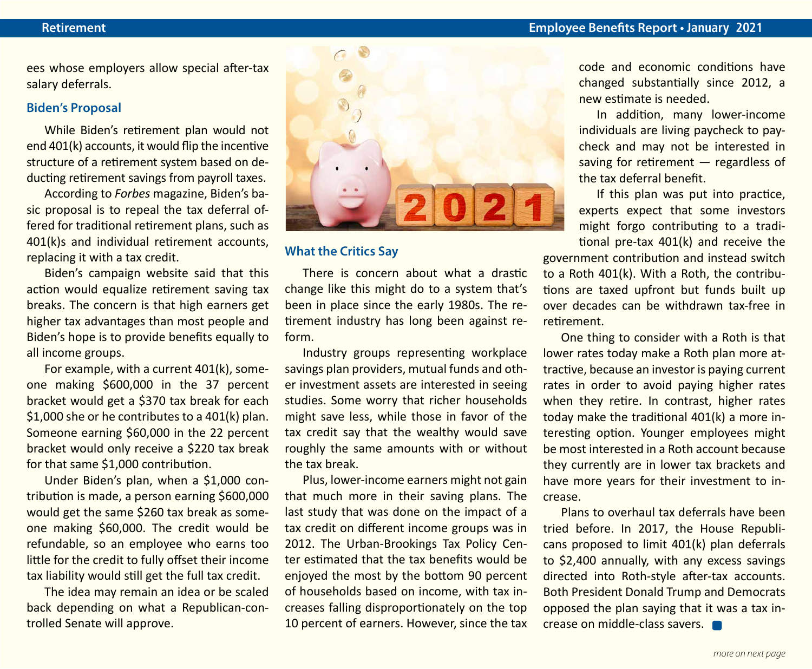ees whose employers allow special after-tax salary deferrals.

#### **Biden's Proposal**

While Biden's retirement plan would not end 401(k) accounts, it would flip the incentive structure of a retirement system based on deducting retirement savings from payroll taxes.

According to *Forbes* magazine, Biden's basic proposal is to repeal the tax deferral offered for traditional retirement plans, such as 401(k)s and individual retirement accounts, replacing it with a tax credit.

Biden's campaign website said that this action would equalize retirement saving tax breaks. The concern is that high earners get higher tax advantages than most people and Biden's hope is to provide benefits equally to all income groups.

For example, with a current 401(k), someone making \$600,000 in the 37 percent bracket would get a \$370 tax break for each \$1,000 she or he contributes to a 401(k) plan. Someone earning \$60,000 in the 22 percent bracket would only receive a \$220 tax break for that same \$1,000 contribution.

Under Biden's plan, when a \$1,000 contribution is made, a person earning \$600,000 would get the same \$260 tax break as someone making \$60,000. The credit would be refundable, so an employee who earns too little for the credit to fully offset their income tax liability would still get the full tax credit.

The idea may remain an idea or be scaled back depending on what a Republican-controlled Senate will approve.



#### **What the Critics Say**

There is concern about what a drastic change like this might do to a system that's been in place since the early 1980s. The retirement industry has long been against reform.

Industry groups representing workplace savings plan providers, mutual funds and other investment assets are interested in seeing studies. Some worry that richer households might save less, while those in favor of the tax credit say that the wealthy would save roughly the same amounts with or without the tax break.

Plus, lower-income earners might not gain that much more in their saving plans. The last study that was done on the impact of a tax credit on different income groups was in 2012. The Urban-Brookings Tax Policy Center estimated that the tax benefits would be enjoyed the most by the bottom 90 percent of households based on income, with tax increases falling disproportionately on the top 10 percent of earners. However, since the tax code and economic conditions have changed substantially since 2012, a new estimate is needed.

In addition, many lower-income individuals are living paycheck to paycheck and may not be interested in saving for retirement — regardless of the tax deferral benefit.

If this plan was put into practice, experts expect that some investors might forgo contributing to a traditional pre-tax 401(k) and receive the

government contribution and instead switch to a Roth 401(k). With a Roth, the contributions are taxed upfront but funds built up over decades can be withdrawn tax-free in retirement.

One thing to consider with a Roth is that lower rates today make a Roth plan more attractive, because an investor is paying current rates in order to avoid paying higher rates when they retire. In contrast, higher rates today make the traditional 401(k) a more interesting option. Younger employees might be most interested in a Roth account because they currently are in lower tax brackets and have more years for their investment to increase.

Plans to overhaul tax deferrals have been tried before. In 2017, the House Republicans proposed to limit 401(k) plan deferrals to \$2,400 annually, with any excess savings directed into Roth-style after-tax accounts. Both President Donald Trump and Democrats opposed the plan saying that it was a tax increase on middle-class savers.